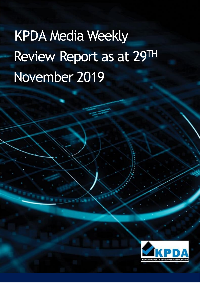# KPDA Media Weekly Review Report as at 29TH November 2019

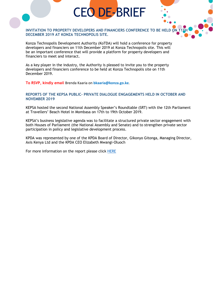# CEO DE-BRIEF

# **INVITATION TO PROPERTY DEVELOPERS AND FINANCIERS CONFERENCE TO BE HELD ON DECEMBER 2019 AT KONZA TECHNOPOLIS SITE.**

Konza Technopolis Development Authority (KoTDA) will hold a conference for property developers and financiers on 11th December 2019 at Konza Technopolis site. This will be an important conference that will provide a platform for property developers and financiers to meet and interact.

As a key player in the industry, the Authority is pleased to invite you to the property developers and financiers conference to be held at Konza Technopolis site on 11th December 2019.

**To RSVP, kindly email** Brenda Kaaria on **bkaaria@konza.go.ke**.

### **REPORTS OF THE KEPSA PUBLIC- PRIVATE DIALOGUE ENGAGEMENTS HELD IN OCTOBER AND NOVEMBER 2019**

KEPSA hosted the second National Assembly Speaker's Roundtable (SRT) with the 12th Parliament at Travellers' Beach Hotel in Mombasa on 17th to 19th October 2019.

KEPSA's business legislative agenda was to facilitate a structured private sector engagement with both Houses of Parliament (the National Assembly and Senate) and to strengthen private sector participation in policy and legislative development process.

KPDA was represented by one of the KPDA Board of Director, Gikonyo Gitonga, Managing Director, Axis Kenya Ltd and the KPDA CEO Elizabeth Mwangi-Oluoch

For more information on the report please click [HERE](https://drive.google.com/file/d/1tC5bvgpiJ2G0ULg_BwnD_SXZ4xRhkvz6/view)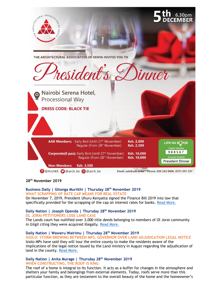

**28th November 2019**

# **Business Daily | Gitonga Muriithi | Thursday 28th November 2019 WHAT SCRAPPING OF RATE CAP MEANS FOR REAL ESTATE**

On November 7, 2019, President Uhuru Kenyatta signed the Finance Bill 2019 into law that specifically provided for the scrapping of the cap on interest rates for banks. [Read More.](https://www.businessdailyafrica.com/analysis/ideas/rate-cap-real-estate/4259414-5366164-hudpaqz/index.html)

#### **Daily Nation | Joseph Openda | Thursday 28th November 2019 OL JORAI PETITIONERS LOSE LAND CASE**

The Lands court has nullified over 3,000 title deeds belonging to members of Ol Jorai community in Gilgil citing they were acquired illegally. [Read More.](https://www.nation.co.ke/counties/nakuru/Ol-Jorai-petitioners-lose-land-case/1183314-5365840-mwvs1q/index.html)

#### **Daily Nation | Waweru Wairimu | Thursday 28th November 2019 ISIOLO: STORM BREWING BETWEEN MPS, GOVERNOR OVER LAND ADJUDICATION LEGAL NOTICE**

Isiolo MPs have said they will tour the entire county to make the residents aware of the implications of the legal notice issued by the Land ministry in August regarding the adjudication of land in the county. [Read More.](https://www.nation.co.ke/counties/isiolo/Storm-brewing-in-over-land-adjudication-legal-notice/1183266-5366276-eph6ooz/index.html)

# **Daily Nation | Anita Murage | Thursday 28th November 2019 WHEN CONSTRUCTING, THE ROOF IS KING**

The roof of a home is integral to its function. It acts as a buffer for changes in the atmosphere and shelters your family and belongings from external elements. Today, roofs serve more than this particular function, as they are testament to the overall beauty of the home and the homeowner's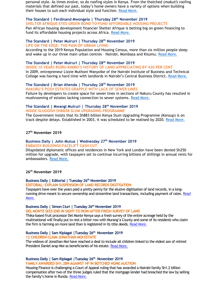personal style. As times evolve, so do roofing styles in Kenya. From the thatched (*makuti*) roofing materials that defined our past, today's home owners have a variety of options when building their houses to suit each individual style and function. [Read More.](https://www.nation.co.ke/lifestyle/dn2/When-constructing--the-roof-is-king/957860-5364894-9sh8nz/index.html)

**The Standard | Ferdinand Mwongela | Thursday 28th November 2019 SHELTER AFRIQUE EYES GREEN BOND TO FUND AFFORDABLE HOUSING PROJECTS** Pan African housing development financier Shelter Afrique is betting big on green financing to fund its affordable housing projects across Africa. [Read More.](https://www.standardmedia.co.ke/business/article/2001351158/lender-bets-on-green-bonds-to-fund-affordable-housing-projects-in-africa)

# **The Standard | Peter Muiruri | Thursday 28th November 2019**

**LIFE ON THE EDGE: THE PAIN OF URBAN LIVING**

According to the 2019 Kenya Population and Housing Census, more than six million people sleep and wake up in our three main urban centres – Nairobi, Mombasa and Kisumu. [Read More.](https://www.standardmedia.co.ke/business/article/2001351160/the-pain-of-living-in-towns)

# **The Standard | Peter Muiruri | Thursday 28th November 2019**

**INSIDE 10 YEARS RUIRU-KIMBO'S HISTORY OF LAND APPRECIATING BY 420 PER CENT**

In 2009, entrepreneur Lizzie Muthoni Wanyoike of the Nairobi Institute of Business and Technical College was having a hard time with landlords in Nairobi's Central Business District. [Read More.](https://www.standardmedia.co.ke/business/article/2001351161/college-that-sent-land-prices-in-ruiru-village-up-by-420-per-cent)

#### **The Standard | Brian Ahenda | Thursday 28th November 2019 NAKURU'S POSH ESTATES GRAPPLE WITH LACK OF SEWER LINES**

Failure by developers to create space for sewer lines in sections of Nakuru County has resulted in mushrooming of estates lacking connection to sewer systems. [Read More.](https://www.standardmedia.co.ke/business/article/2001351174/where-posh-estates-lack-sewer-lines)

#### **The Standard | Mwangi Muiruri | Thursday 28th November 2019 INSIDE SLUGGISH SH883B SLUM UPGRADING PROGRAMME**

The Government insists that its Sh883 billion Kenya Slum Upgrading Programme (Kensup) is on track despite delays. Established in 2003, it was scheduled to be realised by 2020. [Read More.](https://www.standardmedia.co.ke/business/article/2001351149/inside-sluggish-sh883b-slum-upgrading-project)

# **27th November 2019**

# **Business Daily | John Mutua | Wednesday 27th November 2019 EMBASSY BUILDINGS FACELIFT CASH CUT**

Dilapidated diplomatic offices and residences in New York and London have been denied Sh250 million for upgrade, with taxpayers set to continue incurring billions of shillings in annual rents for ambassadors. [Read More.](https://www.businessdailyafrica.com/news/Embassy-buildings-facelift-cash-cut/539546-5365308-wrh0u8/index.html)

# **26th November 2019**

# **Business Daily | Editorial | Tuesday 26th November 2019**

**EDITORIAL: EXPLAIN SUSPENSION OF LAND RECORDS DIGITISATION**

Taxpayers have over the years paid a pretty penny for the elusive digitisation of land records, in a longrunning drive meant to secure ownership and streamline land transactions, including payment of rates. [Read](https://www.businessdailyafrica.com/analysis/ideas/Explain-suspension-of-land-records-digitisation/4259414-5363736-12j0kva/index.html)  [More.](https://www.businessdailyafrica.com/analysis/ideas/Explain-suspension-of-land-records-digitisation/4259414-5363736-12j0kva/index.html)

# **Business Daily | Simon Ciuri | Tuesday 26th November 2019**

**DEL MONTE SEES END IN SIGHT TO ROW AFTER FRESH SURVEY OF LAND**

Thika-based fruit processor Del Monte Kenya says a fresh survey of the entire acreage held by the multinational will finally put to rest a bitter row with Murang'a County and some of its residents who claim the firm is farming on more land than is registered in its title deeds[. Read More.](https://www.businessdailyafrica.com/corporate/companies/Del-Monte-sees-end-in-sight-to-row-/4003102-5363820-6ml4um/index.html)

#### **Business Daily | Sam Kiplagat |Tuesday 26th November 2019 12 CHILDREN CLAIM JONATHAN MOI ESTATE**

The widows of Jonathan Moi have reached a deal to include all children linked to the eldest son of retired President Daniel arap Moi as beneficiaries of his estate[. Read More.](https://www.businessdailyafrica.com/news/12-children-claim-Jonathan-Moi-estate/539546-5363872-2riqmw/index.html)

# **Business Daily | Sam Kiplagat |Tuesday 26th November 2019**

**FAMILY AWARDED SH1.2BN AGAINST HF IN BOTCHED HOME AUCTION**

Housing Finance is challenging a Court of Appeal ruling that has awarded a Nairobi family Sh1.2 billion compensation after two of the three judges ruled that the mortgage lender had breached the law by selling the family's home in Runda. [Read More.](https://www.businessdailyafrica.com/news/HF-fights-award-in-property-auction-court-case/539546-5362878-m4k86uz/index.html)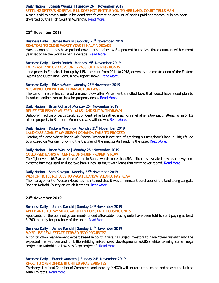#### **Daily Nation | Joseph Wangui |Tuesday 26th November 2019 SETTLING SISTER'S HOSPITAL BILL DOES NOT ENTITLE YOU TO HER LAND, COURT TELLS MAN** A man's bid to have a stake in his dead sister's estate on account of having paid her medical bills has been thwarted by the High Court in Murang'a. [Read More.](https://www.nation.co.ke/news/Man-loses-bid-to-inherit-sisters-land/1056-5363124-lhy21b/index.html)

#### **25th November 2019**

# **Business Daily | James Kariuki| Monday 25th November 2019**

**REALTORS TO CLOSE WORST YEAR IN HALF A DECADE** Harsh economic times have pushed down house prices by 6.4 percent in the last three quarters with current year set to be the worst in half a decade. [Read More.](https://www.businessdailyafrica.com/markets/marketnews/Realtors-to-close-worst-year-in-half-a-decade/3815534-5362152-qxu26k/index.html)

# **Business Daily | Kevin Rotich| Monday 25th November 2019**

**EMBAKASI LAND UP 115PC ON BYPASS, OUTER RING ROADS**

Land prices in Embakasi shot up by 115.1 percent from 2011 to 2018, driven by the construction of the Eastern Bypass and Outer Ring Road, a new report shows. [Read More.](https://www.businessdailyafrica.com/markets/marketnews/Embakasi-land-up-115pc-on-bypass/3815534-5362158-14evtct/index.html)

#### **Business Daily | Edwin Mutai| Monday 25th November 2019 MPS ANNUL ONLINE LAND TRANSACTION LAWS**

The Land ministry has suffered a major blow after Parliament annulled laws that would have aided plan to introduce online transactions for property deals. [Read More.](https://www.businessdailyafrica.com/economy/MPs-annul-online-land-transaction-laws/3946234-5362364-ew6qbsz/index.html)

# **Daily Nation | Brian Ocharo| Monday 25th November 2019**

# **RELIEF FOR BISHOP WILFRED LAI AS LAND SUIT WITHDRAWN**

Bishop Wilfred Lai of Jesus Celebration Centre has breathed a sigh of relief after a lawsuit challenging his Sh1.2 billion property in Bamburi, Mombasa, was withdrawn. [Read More.](https://www.nation.co.ke/news/Relief-for-Bishop-Wilfred-Lai-as-land-suit-withdrawn/1056-5362452-lxviy9/index.html)

#### **Daily Nation | Dickens Wasonga| Monday 25th November 2019 LAND CASE AGAINST MP GIDEON OCHANDA FAILS TO PROCEED**

Hearing of a case where Bondo MP Gideon Ochanda is accused of grabbing his neighbour's land in Usigu failed to proceed on Monday following the transfer of the magistrate handling the case. [Read More.](https://www.nation.co.ke/news/Land-case-against-MP-Gideon-Ochanda-fails-to-proceed/1056-5361812-8v65pfz/index.html)

# **Daily Nation | Brian Wasuna| Monday 25th November 2019**

# **COLLAPSED BANKS AT CENTRE OF SH3BN PROPERTY ROW**

The fight over a 16.7-acre piece of land in Runda worth more than Sh3 billion has revealed how a shadowy non-existent firm was used to dupe two banks into issuing it with loans that were never repaid. [Read More.](https://www.nation.co.ke/business/Collapsed-credit-banks-at-centre-of-Sh3bn-property-row/996-5360996-12q7b22/index.html)

# **Daily Nation | Sam Kiplagat| Monday 25th November 2019**

#### **WESTON HOTEL REFUSES TO VACATE LANG'ATA LAND, PAY KCAA**

The management of Weston Hotel has maintained that it was an innocent purchaser of the land along Lang'ata Road in Nairobi County on which it stands. [Read More.](https://www.nation.co.ke/news/Weston-fights-keep-disputed-land/1056-5361244-6qt78lz/index.html)

# **24th November 2019**

# **Business Daily | James Kariuki| Sunday 24th November 2019**

**APPLICANTS TO PAY SH200 MONTHLY FOR STATE HOUSING UNITS**

Applicants for the planned government-funded affordable housing units have been told to start paying at least Sh200 monthly for purchase of the units. [Read More.](https://www.businessdailyafrica.com/markets/marketnews/Applicants-to-pay-Sh200-monthly-for-State-housing-units/3815534-5360738-10r7ygwz/index.html)

#### **Business Daily | James Kariuki| Sunday 24th November 2019 MIXED USE REAL ESTATE TERMED 'EGO PROJECTS'**

A construction management expert based in South Africa has urged investors to have "clear insight" into the expected market demand of billion-shilling mixed used developments (MUDs) while terming some mega projects in Nairobi and Lagos as "ego projects". [Read More.](https://www.businessdailyafrica.com/corporate/companies/Mixed-use-real-estate-termed--ego-projects-/4003102-5360638-iwsyhiz/index.html)

# **Business Daily | Francis Mureithi| Sunday 24th November 2019**

**KNCCI TO OPEN OFFICE IN UNITED ARAB EMIRATES**

The Kenya National Chamber of Commerce and Industry (KNCCI) will set up a trade command base at the United Arab Emirates. [Read More.](https://www.nation.co.ke/business/KNCCI-to-open-office-in-United-Arab-Emirates/996-5361146-10v34gj/index.html)